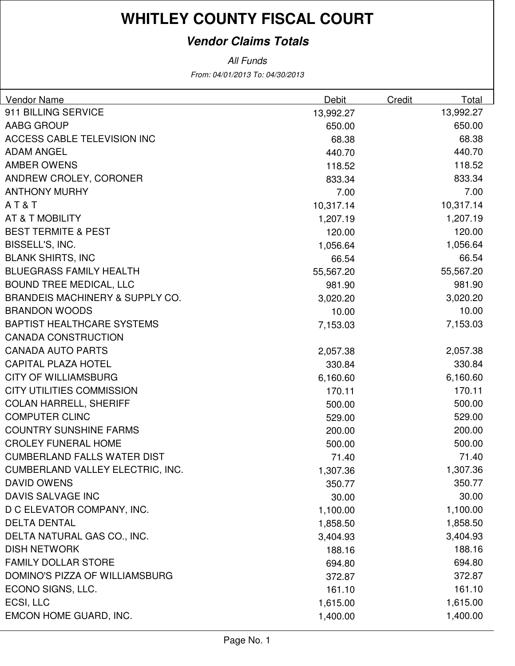### **Vendor Claims Totals**

| Vendor Name                                | Debit     | Credit | Total     |
|--------------------------------------------|-----------|--------|-----------|
| 911 BILLING SERVICE                        | 13,992.27 |        | 13,992.27 |
| <b>AABG GROUP</b>                          | 650.00    |        | 650.00    |
| ACCESS CABLE TELEVISION INC                | 68.38     |        | 68.38     |
| <b>ADAM ANGEL</b>                          | 440.70    |        | 440.70    |
| <b>AMBER OWENS</b>                         | 118.52    |        | 118.52    |
| ANDREW CROLEY, CORONER                     | 833.34    |        | 833.34    |
| <b>ANTHONY MURHY</b>                       | 7.00      |        | 7.00      |
| AT&T                                       | 10,317.14 |        | 10,317.14 |
| AT & T MOBILITY                            | 1,207.19  |        | 1,207.19  |
| <b>BEST TERMITE &amp; PEST</b>             | 120.00    |        | 120.00    |
| BISSELL'S, INC.                            | 1,056.64  |        | 1,056.64  |
| <b>BLANK SHIRTS, INC</b>                   | 66.54     |        | 66.54     |
| <b>BLUEGRASS FAMILY HEALTH</b>             | 55,567.20 |        | 55,567.20 |
| <b>BOUND TREE MEDICAL, LLC</b>             | 981.90    |        | 981.90    |
| <b>BRANDEIS MACHINERY &amp; SUPPLY CO.</b> | 3,020.20  |        | 3,020.20  |
| <b>BRANDON WOODS</b>                       | 10.00     |        | 10.00     |
| <b>BAPTIST HEALTHCARE SYSTEMS</b>          | 7,153.03  |        | 7,153.03  |
| <b>CANADA CONSTRUCTION</b>                 |           |        |           |
| <b>CANADA AUTO PARTS</b>                   | 2,057.38  |        | 2,057.38  |
| <b>CAPITAL PLAZA HOTEL</b>                 | 330.84    |        | 330.84    |
| <b>CITY OF WILLIAMSBURG</b>                | 6,160.60  |        | 6,160.60  |
| <b>CITY UTILITIES COMMISSION</b>           | 170.11    |        | 170.11    |
| <b>COLAN HARRELL, SHERIFF</b>              | 500.00    |        | 500.00    |
| <b>COMPUTER CLINC</b>                      | 529.00    |        | 529.00    |
| <b>COUNTRY SUNSHINE FARMS</b>              | 200.00    |        | 200.00    |
| <b>CROLEY FUNERAL HOME</b>                 | 500.00    |        | 500.00    |
| <b>CUMBERLAND FALLS WATER DIST</b>         | 71.40     |        | 71.40     |
| CUMBERLAND VALLEY ELECTRIC, INC.           | 1,307.36  |        | 1,307.36  |
| <b>DAVID OWENS</b>                         | 350.77    |        | 350.77    |
| DAVIS SALVAGE INC                          | 30.00     |        | 30.00     |
| D C ELEVATOR COMPANY, INC.                 | 1,100.00  |        | 1,100.00  |
| <b>DELTA DENTAL</b>                        | 1,858.50  |        | 1,858.50  |
| DELTA NATURAL GAS CO., INC.                | 3,404.93  |        | 3,404.93  |
| <b>DISH NETWORK</b>                        | 188.16    |        | 188.16    |
| <b>FAMILY DOLLAR STORE</b>                 | 694.80    |        | 694.80    |
| DOMINO'S PIZZA OF WILLIAMSBURG             | 372.87    |        | 372.87    |
| ECONO SIGNS, LLC.                          | 161.10    |        | 161.10    |
| ECSI, LLC                                  | 1,615.00  |        | 1,615.00  |
| EMCON HOME GUARD, INC.                     | 1,400.00  |        | 1,400.00  |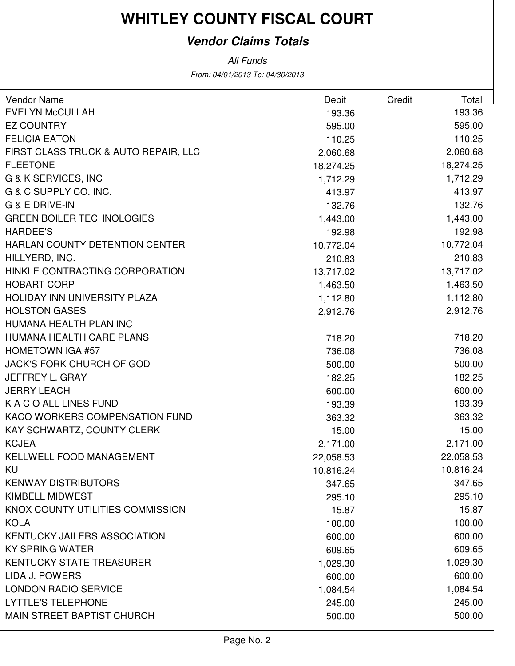### **Vendor Claims Totals**

| <b>Vendor Name</b>                   | <b>Debit</b> | <b>Credit</b> | Total     |
|--------------------------------------|--------------|---------------|-----------|
| <b>EVELYN McCULLAH</b>               | 193.36       |               | 193.36    |
| <b>EZ COUNTRY</b>                    | 595.00       |               | 595.00    |
| <b>FELICIA EATON</b>                 | 110.25       |               | 110.25    |
| FIRST CLASS TRUCK & AUTO REPAIR, LLC | 2,060.68     |               | 2,060.68  |
| <b>FLEETONE</b>                      | 18,274.25    |               | 18,274.25 |
| G & K SERVICES, INC                  | 1,712.29     |               | 1,712.29  |
| G & C SUPPLY CO. INC.                | 413.97       |               | 413.97    |
| G & E DRIVE-IN                       | 132.76       |               | 132.76    |
| <b>GREEN BOILER TECHNOLOGIES</b>     | 1,443.00     |               | 1,443.00  |
| <b>HARDEE'S</b>                      | 192.98       |               | 192.98    |
| HARLAN COUNTY DETENTION CENTER       | 10,772.04    |               | 10,772.04 |
| HILLYERD, INC.                       | 210.83       |               | 210.83    |
| HINKLE CONTRACTING CORPORATION       | 13,717.02    |               | 13,717.02 |
| <b>HOBART CORP</b>                   | 1,463.50     |               | 1,463.50  |
| HOLIDAY INN UNIVERSITY PLAZA         | 1,112.80     |               | 1,112.80  |
| <b>HOLSTON GASES</b>                 | 2,912.76     |               | 2,912.76  |
| HUMANA HEALTH PLAN INC               |              |               |           |
| HUMANA HEALTH CARE PLANS             | 718.20       |               | 718.20    |
| <b>HOMETOWN IGA #57</b>              | 736.08       |               | 736.08    |
| <b>JACK'S FORK CHURCH OF GOD</b>     | 500.00       |               | 500.00    |
| JEFFREY L. GRAY                      | 182.25       |               | 182.25    |
| <b>JERRY LEACH</b>                   | 600.00       |               | 600.00    |
| K A C O ALL LINES FUND               | 193.39       |               | 193.39    |
| KACO WORKERS COMPENSATION FUND       | 363.32       |               | 363.32    |
| KAY SCHWARTZ, COUNTY CLERK           | 15.00        |               | 15.00     |
| <b>KCJEA</b>                         | 2,171.00     |               | 2,171.00  |
| KELLWELL FOOD MANAGEMENT             | 22,058.53    |               | 22,058.53 |
| KU                                   | 10,816.24    |               | 10,816.24 |
| <b>KENWAY DISTRIBUTORS</b>           | 347.65       |               | 347.65    |
| KIMBELL MIDWEST                      | 295.10       |               | 295.10    |
| KNOX COUNTY UTILITIES COMMISSION     | 15.87        |               | 15.87     |
| <b>KOLA</b>                          | 100.00       |               | 100.00    |
| KENTUCKY JAILERS ASSOCIATION         | 600.00       |               | 600.00    |
| <b>KY SPRING WATER</b>               | 609.65       |               | 609.65    |
| <b>KENTUCKY STATE TREASURER</b>      | 1,029.30     |               | 1,029.30  |
| LIDA J. POWERS                       | 600.00       |               | 600.00    |
| <b>LONDON RADIO SERVICE</b>          | 1,084.54     |               | 1,084.54  |
| <b>LYTTLE'S TELEPHONE</b>            | 245.00       |               | 245.00    |
| <b>MAIN STREET BAPTIST CHURCH</b>    | 500.00       |               | 500.00    |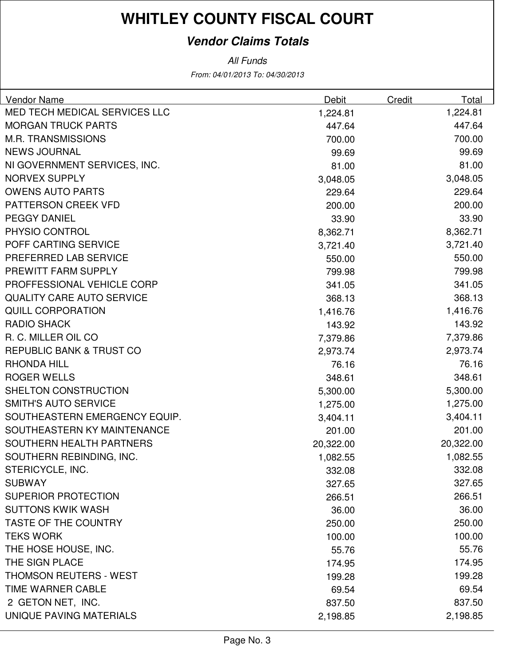### **Vendor Claims Totals**

| Vendor Name                         | Debit     | Credit | Total     |
|-------------------------------------|-----------|--------|-----------|
| MED TECH MEDICAL SERVICES LLC       | 1,224.81  |        | 1,224.81  |
| <b>MORGAN TRUCK PARTS</b>           | 447.64    |        | 447.64    |
| <b>M.R. TRANSMISSIONS</b>           | 700.00    |        | 700.00    |
| <b>NEWS JOURNAL</b>                 | 99.69     |        | 99.69     |
| NI GOVERNMENT SERVICES, INC.        | 81.00     |        | 81.00     |
| <b>NORVEX SUPPLY</b>                | 3,048.05  |        | 3,048.05  |
| <b>OWENS AUTO PARTS</b>             | 229.64    |        | 229.64    |
| PATTERSON CREEK VFD                 | 200.00    |        | 200.00    |
| <b>PEGGY DANIEL</b>                 | 33.90     |        | 33.90     |
| PHYSIO CONTROL                      | 8,362.71  |        | 8,362.71  |
| POFF CARTING SERVICE                | 3,721.40  |        | 3,721.40  |
| PREFERRED LAB SERVICE               | 550.00    |        | 550.00    |
| PREWITT FARM SUPPLY                 | 799.98    |        | 799.98    |
| PROFFESSIONAL VEHICLE CORP          | 341.05    |        | 341.05    |
| <b>QUALITY CARE AUTO SERVICE</b>    | 368.13    |        | 368.13    |
| <b>QUILL CORPORATION</b>            | 1,416.76  |        | 1,416.76  |
| <b>RADIO SHACK</b>                  | 143.92    |        | 143.92    |
| R. C. MILLER OIL CO                 | 7,379.86  |        | 7,379.86  |
| <b>REPUBLIC BANK &amp; TRUST CO</b> | 2,973.74  |        | 2,973.74  |
| <b>RHONDA HILL</b>                  | 76.16     |        | 76.16     |
| <b>ROGER WELLS</b>                  | 348.61    |        | 348.61    |
| SHELTON CONSTRUCTION                | 5,300.00  |        | 5,300.00  |
| <b>SMITH'S AUTO SERVICE</b>         | 1,275.00  |        | 1,275.00  |
| SOUTHEASTERN EMERGENCY EQUIP.       | 3,404.11  |        | 3,404.11  |
| SOUTHEASTERN KY MAINTENANCE         | 201.00    |        | 201.00    |
| SOUTHERN HEALTH PARTNERS            | 20,322.00 |        | 20,322.00 |
| SOUTHERN REBINDING, INC.            | 1,082.55  |        | 1,082.55  |
| STERICYCLE, INC.                    | 332.08    |        | 332.08    |
| <b>SUBWAY</b>                       | 327.65    |        | 327.65    |
| <b>SUPERIOR PROTECTION</b>          | 266.51    |        | 266.51    |
| <b>SUTTONS KWIK WASH</b>            | 36.00     |        | 36.00     |
| <b>TASTE OF THE COUNTRY</b>         | 250.00    |        | 250.00    |
| <b>TEKS WORK</b>                    | 100.00    |        | 100.00    |
| THE HOSE HOUSE, INC.                | 55.76     |        | 55.76     |
| THE SIGN PLACE                      | 174.95    |        | 174.95    |
| <b>THOMSON REUTERS - WEST</b>       | 199.28    |        | 199.28    |
| TIME WARNER CABLE                   | 69.54     |        | 69.54     |
| 2 GETON NET, INC.                   | 837.50    |        | 837.50    |
| UNIQUE PAVING MATERIALS             | 2,198.85  |        | 2,198.85  |